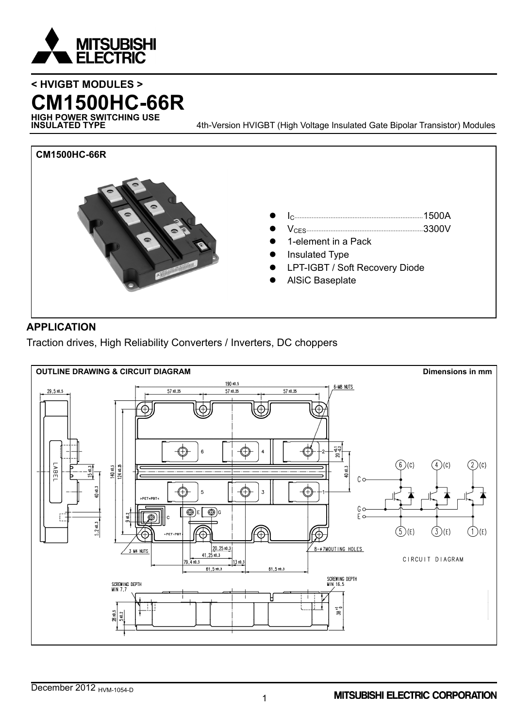

# **< HVIGBT MODULES > CM1500HC-66R**

**HIGH POWER SWITCHING USE**

4th-Version HVIGBT (High Voltage Insulated Gate Bipolar Transistor) Modules



### **APPLICATION**

Traction drives, High Reliability Converters / Inverters, DC choppers

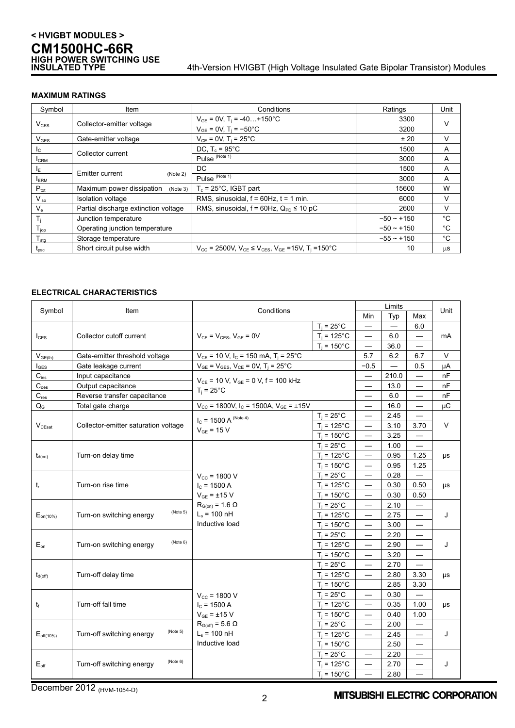## **< HVIGBT MODULES > CM1500HC-66R HIGH POWER SWITCHING USE**

#### 4th-Version HVIGBT (High Voltage Insulated Gate Bipolar Transistor) Modules

#### **MAXIMUM RATINGS**

| Symbol                     | Item                                  | Conditions                                                                                                             | Ratings      | Unit   |  |
|----------------------------|---------------------------------------|------------------------------------------------------------------------------------------------------------------------|--------------|--------|--|
|                            |                                       | $V_{GE}$ = 0V, T <sub>i</sub> = -40+150°C                                                                              | 3300         | $\vee$ |  |
| $V_{CES}$                  | Collector-emitter voltage             | $V_{GE}$ = 0V, T <sub>i</sub> = -50°C                                                                                  | 3200         |        |  |
| $V_{\text{GES}}$           | Gate-emitter voltage                  | $V_{CF}$ = 0V, T <sub>i</sub> = 25°C                                                                                   | ± 20         | v      |  |
| $I_{\rm C}$                |                                       | DC, $T_c = 95^{\circ}$ C                                                                                               | 1500         | A      |  |
| <b>I</b> CRM               | Collector current                     | Pulse <sup>(Note 1)</sup>                                                                                              | 3000         | A      |  |
| $I_{E}$                    | Emitter current                       | DC.                                                                                                                    | 1500         | A      |  |
| <b>ERM</b>                 | (Note 2)                              | Pulse <sup>(Note 1)</sup>                                                                                              | 3000         | A      |  |
| $P_{\text{tot}}$           | Maximum power dissipation<br>(Note 3) | $T_c = 25^{\circ}$ C, IGBT part                                                                                        | 15600        | W      |  |
| $V_{\rm iso}$              | <b>Isolation voltage</b>              | RMS, sinusoidal, $f = 60$ Hz, $t = 1$ min.                                                                             | 6000         | V      |  |
| $V_{\rm e}$                | Partial discharge extinction voltage  | RMS, sinusoidal, $f = 60$ Hz, $Q_{PD} \le 10$ pC                                                                       | 2600         | V      |  |
|                            | Junction temperature                  |                                                                                                                        | $-50 - +150$ | °C     |  |
| $T_{jop}$                  | Operating junction temperature        |                                                                                                                        | $-50 - +150$ | °C     |  |
| ${\mathsf T}_{\text{stg}}$ | Storage temperature                   |                                                                                                                        | $-55 - +150$ | °C     |  |
| $t_{\rm psc}$              | Short circuit pulse width             | $V_{\text{CC}}$ = 2500V, $V_{\text{CE}} \le V_{\text{CES}}$ , $V_{\text{GE}}$ =15V, T <sub>i</sub> =150 <sup>°</sup> C | 10           | μS     |  |

#### **ELECTRICAL CHARACTERISTICS**

| Symbol              | Item                                  | Conditions                                                                   |                       |                          | Limits |                          | Unit   |
|---------------------|---------------------------------------|------------------------------------------------------------------------------|-----------------------|--------------------------|--------|--------------------------|--------|
|                     |                                       |                                                                              |                       | Min                      | Typ    | Max                      |        |
|                     |                                       |                                                                              | $T_i = 25^{\circ}C$   |                          |        | 6.0                      |        |
| $I_{CES}$           | Collector cutoff current              | $V_{CE}$ = $V_{CES}$ , $V_{GE}$ = 0V                                         | $T_i = 125^{\circ}$ C | —                        | 6.0    |                          | mA     |
|                     |                                       |                                                                              | $T_i = 150^{\circ}$ C |                          | 36.0   |                          |        |
| $V_{GE(th)}$        | Gate-emitter threshold voltage        | $V_{CF}$ = 10 V, I <sub>C</sub> = 150 mA, T <sub>i</sub> = 25 <sup>°</sup> C |                       | 5.7                      | 6.2    | 6.7                      | $\vee$ |
| $I_{\text{GES}}$    | Gate leakage current                  | $V_{GE} = V_{GES}$ , $V_{CE} = 0V$ , $T_i = 25^{\circ}C$                     |                       | $-0.5$                   |        | 0.5                      | μA     |
| $C_{\text{ies}}$    | Input capacitance                     | $V_{CE}$ = 10 V, $V_{GE}$ = 0 V, f = 100 kHz                                 |                       |                          | 210.0  | $\overline{\phantom{0}}$ | nF     |
| $C_{\rm {oes}}$     | Output capacitance                    | $T_i = 25^{\circ}$ C                                                         |                       |                          | 13.0   |                          | nF     |
| $C_{res}$           | Reverse transfer capacitance          |                                                                              |                       |                          | 6.0    |                          | nF     |
| $Q_{\rm G}$         | Total gate charge                     | $V_{\text{CC}}$ = 1800V, I <sub>C</sub> = 1500A, V <sub>GE</sub> = ±15V      |                       |                          | 16.0   |                          | μC     |
|                     |                                       | $I_C$ = 1500 A (Note 4)                                                      | $T_i = 25^{\circ}C$   |                          | 2.45   |                          |        |
| $V_{CEsat}$         | Collector-emitter saturation voltage  | $V_{GE}$ = 15 V                                                              | $T_i = 125^{\circ}$ C | $\overline{\phantom{0}}$ | 3.10   | 3.70                     | $\vee$ |
|                     |                                       |                                                                              | $T_i = 150^{\circ}$ C | $\overline{\phantom{0}}$ | 3.25   |                          |        |
|                     |                                       |                                                                              | $T_i = 25^{\circ}C$   |                          | 1.00   |                          |        |
| $t_{d(on)}$         | Turn-on delay time                    |                                                                              | $T_i = 125$ °C        |                          | 0.95   | 1.25                     | μs     |
|                     |                                       |                                                                              | $T_i = 150^{\circ}$ C |                          | 0.95   | 1.25                     |        |
|                     | Turn-on rise time                     | $V_{cc}$ = 1800 V                                                            | $T_i = 25^{\circ}C$   |                          | 0.28   |                          | μs     |
| $t_{r}$             |                                       | $I_C$ = 1500 A                                                               | $T_i = 125$ °C        |                          | 0.30   | 0.50                     |        |
|                     |                                       | $V_{GE}$ = $\pm$ 15 V                                                        | $T_i = 150^{\circ}C$  | —                        | 0.30   | 0.50                     |        |
|                     | (Note 5)<br>Turn-on switching energy  | $R_{G(0n)} = 1.6 \Omega$                                                     | $T_i = 25^{\circ}C$   |                          | 2.10   | —                        | J      |
| $E_{on(10\%)}$      |                                       | $L_s$ = 100 nH                                                               | $T_i = 125^{\circ}C$  |                          | 2.75   |                          |        |
|                     |                                       | Inductive load                                                               | $T_i = 150^{\circ}$ C | $\overline{\phantom{0}}$ | 3.00   |                          |        |
|                     |                                       |                                                                              | $T_i = 25^{\circ}C$   | —                        | 2.20   | $\overline{\phantom{0}}$ |        |
| $E_{on}$            | (Note 6)<br>Turn-on switching energy  |                                                                              | $T_i = 125^{\circ}C$  | $\overline{\phantom{0}}$ | 2.90   |                          | J      |
|                     |                                       |                                                                              | $T_i = 150^{\circ}$ C |                          | 3.20   |                          |        |
|                     |                                       |                                                                              | $T_i = 25^{\circ}C$   |                          | 2.70   |                          |        |
| $t_{d(\text{off})}$ | Turn-off delay time                   |                                                                              | $T_i = 125^{\circ}C$  |                          | 2.80   | 3.30                     | μs     |
|                     |                                       |                                                                              | $T_i = 150^{\circ}C$  |                          | 2.85   | 3.30                     |        |
|                     |                                       | $V_{cc}$ = 1800 V                                                            | $T_i = 25^{\circ}C$   | $\overline{\phantom{0}}$ | 0.30   |                          |        |
| $t_{\rm f}$         | Turn-off fall time                    | $I_c = 1500 A$                                                               | $T_i = 125^{\circ}$ C | $\overline{\phantom{0}}$ | 0.35   | 1.00                     | μs     |
|                     |                                       | $V_{GF}$ = $\pm$ 15 V                                                        | $T_i = 150^{\circ}$ C |                          | 0.40   | 1.00                     |        |
|                     | (Note 5)<br>Turn-off switching energy | $R_{G(off)} = 5.6 \Omega$                                                    | $T_i = 25^{\circ}C$   |                          | 2.00   | $\qquad \qquad -$        |        |
| $E_{off(10\%)}$     |                                       | $L_s$ = 100 nH                                                               | $T_i = 125^{\circ}$ C |                          | 2.45   | $\overline{\phantom{0}}$ | J      |
|                     |                                       | Inductive load                                                               | $T_i = 150^{\circ}$ C |                          | 2.50   | $\overline{\phantom{0}}$ |        |
| $E_{\text{off}}$    |                                       |                                                                              | $T_i = 25^{\circ}C$   | —                        | 2.20   |                          |        |
|                     | (Note 6)<br>Turn-off switching energy |                                                                              | $T_i = 125^{\circ}C$  | —                        | 2.70   |                          | J      |
|                     |                                       |                                                                              | $T_i = 150^{\circ}C$  |                          | 2.80   |                          |        |

December 2012 (HVM-1054-D)

#### **MITSUBISHI ELECTRIC CORPORATION**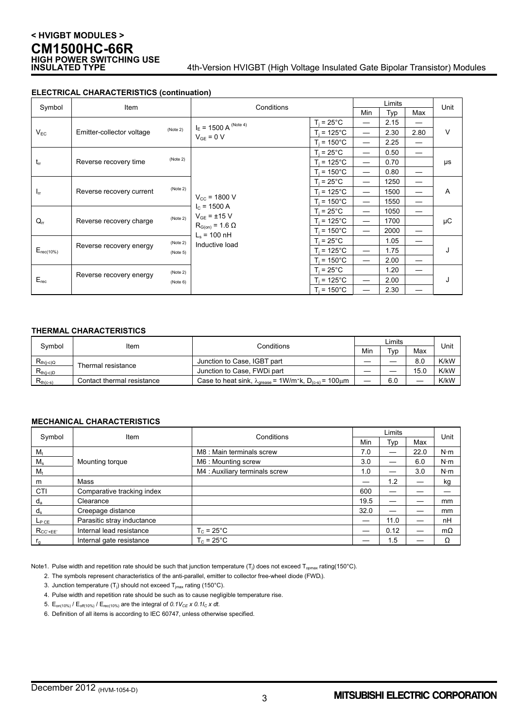## **< HVIGBT MODULES > CM1500HC-66R HIGH POWER SWITCHING USE**

#### 4th-Version HVIGBT (High Voltage Insulated Gate Bipolar Transistor) Modules

| Symbol          | Item                                            |                                            | Conditions                         |                          | Limits                   |      |      | Unit   |
|-----------------|-------------------------------------------------|--------------------------------------------|------------------------------------|--------------------------|--------------------------|------|------|--------|
|                 |                                                 |                                            |                                    |                          | Min                      | Typ  | Max  |        |
|                 |                                                 | $I_E$ = 1500 A <sup>(Note 4)</sup>         | $T_i = 25^{\circ}C$                |                          | 2.15                     |      |      |        |
| $V_{EC}$        | Emitter-collector voltage                       | (Note 2)                                   |                                    | $T_i$ = 125°C.           | $\overline{\phantom{0}}$ | 2.30 | 2.80 | $\vee$ |
|                 |                                                 |                                            | $V_{GE} = 0 V$                     | $T_i = 150^{\circ}$ C    | $\overline{\phantom{0}}$ | 2.25 | —    |        |
|                 |                                                 |                                            |                                    | $T_i = 25^{\circ}C$      |                          | 0.50 |      | μs     |
| $t_{rr}$        | Reverse recovery time                           | (Note 2)                                   |                                    | $T_i = 125^{\circ}C$     | $\overline{\phantom{0}}$ | 0.70 |      |        |
|                 |                                                 |                                            |                                    | $T_i$ = 150°C            | $\overline{\phantom{0}}$ | 0.80 |      |        |
|                 |                                                 |                                            | $T_i = 25^{\circ}$ C               |                          | 1250                     |      |      |        |
| $I_{\text{IT}}$ | Reverse recovery current                        | (Note 2)                                   |                                    | T <sub>i</sub> = 125°C   | —                        | 1500 |      | Α      |
|                 |                                                 | $V_{\text{cc}}$ = 1800 V                   | $T_i = 150^{\circ}$ C              | $\overline{\phantom{0}}$ | 1550                     |      |      |        |
|                 | (Note 2)<br>Reverse recovery charge             |                                            | $I_c = 1500 A$<br>$V_{GF}$ = ±15 V | $T_i = 25^{\circ}C$      | —                        | 1050 |      | μC     |
| $Q_{rr}$        |                                                 |                                            |                                    | $T_i = 125^{\circ}C$     |                          | 1700 |      |        |
|                 |                                                 | $R_{G(on)} = 1.6 \Omega$<br>$L_s$ = 100 nH | $T_i$ = 150°C.                     |                          | 2000                     |      |      |        |
|                 |                                                 | (Note 2)                                   | Inductive load                     | $T_i = 25^{\circ}C$      |                          | 1.05 |      |        |
| $E_{rec(10\%)}$ | Reverse recovery energy<br>(Note 5)             |                                            | $T_i = 125^{\circ}C$               | $\overline{\phantom{0}}$ | 1.75                     |      | J    |        |
|                 |                                                 |                                            |                                    | $T_i$ = 150°C.           | $\overline{\phantom{0}}$ | 2.00 |      |        |
| $E_{rec}$       | (Note 2)<br>Reverse recovery energy<br>(Note 6) |                                            | $T_i = 25^{\circ}C$                |                          | 1.20                     |      |      |        |
|                 |                                                 |                                            | $T_i$ = 125°C.                     | $\overline{\phantom{0}}$ | 2.00                     |      | J    |        |
|                 |                                                 |                                            |                                    | $T_i = 150^{\circ}$ C    | —                        | 2.30 |      |        |

#### **ELECTRICAL CHARACTERISTICS (continuation)**

#### **THERMAL CHARACTERISTICS**

|                |                            | Conditions                                                                                                  |   | _imits |      |      |
|----------------|----------------------------|-------------------------------------------------------------------------------------------------------------|---|--------|------|------|
| Symbol         | Item                       |                                                                                                             |   | Tvp    | Max  | Unit |
| $R_{th(i-c)Q}$ | Thermal resistance         | Junction to Case, IGBT part                                                                                 |   |        | 8.0  | K/kW |
| $R_{th(i-c)D}$ |                            | Junction to Case, FWDi part                                                                                 |   |        | 15.0 | K/kW |
| $R_{th(c-s)}$  | Contact thermal resistance | Case to heat sink, $\lambda_{\text{orease}} = 1 \text{W/m} \cdot \text{k}$ , $D_{(c-s)} = 100 \mu \text{m}$ | – | 6.0    | _    | K/kW |

#### **MECHANICAL CHARACTERISTICS**

| Symbol          | <b>Item</b>                | Conditions                     |      | Unit |      |             |
|-----------------|----------------------------|--------------------------------|------|------|------|-------------|
|                 |                            |                                | Min  | Typ  | Max  |             |
| M <sub>t</sub>  |                            | M8 : Main terminals screw      | 7.0  |      | 22.0 | $N \cdot m$ |
| $M_s$           | Mounting torque            | M6 : Mounting screw            | 3.0  |      | 6.0  | $N \cdot m$ |
| $M_t$           |                            | M4 : Auxiliary terminals screw | 1.0  |      | 3.0  | $N \cdot m$ |
| m               | Mass                       |                                |      | 1.2  |      | kg          |
| CTI             | Comparative tracking index |                                | 600  |      |      |             |
| $d_a$           | Clearance                  |                                | 19.5 |      |      | mm          |
| $d_s$           | Creepage distance          |                                | 32.0 |      |      | mm          |
| $L_{PCE}$       | Parasitic stray inductance |                                |      | 11.0 | —    | nH          |
| $R_{CC' + EE'}$ | Internal lead resistance   | $T_c = 25^{\circ}$ C           |      | 0.12 | —    | $m\Omega$   |
| $r_{\alpha}$    | Internal gate resistance   | $T_c = 25^{\circ}$ C           |      | 1.5  |      | Ω           |

Note1. Pulse width and repetition rate should be such that junction temperature (T<sub>i</sub>) does not exceed T<sub>opmax</sub> rating(150°C).

2. The symbols represent characteristics of the anti-parallel, emitter to collector free-wheel diode (FWDi ).

- 3. Junction temperature  $(T_i)$  should not exceed  $T_{\text{max}}$  rating (150°C).
- 4. Pulse width and repetition rate should be such as to cause negligible temperature rise.
- 5.  $E_{on(10\%)}$  /  $E_{off(10\%)}$  /  $E_{rec(10\%)}$  are the integral of 0.1V<sub>CE</sub> x 0.1I<sub>C</sub> x dt.
- 6. Definition of all items is according to IEC 60747, unless otherwise specified.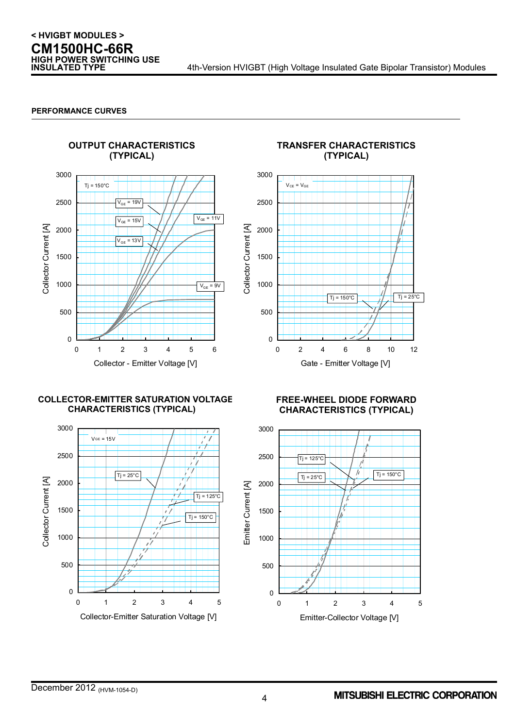4th-Version HVIGBT (High Voltage Insulated Gate Bipolar Transistor) Modules

#### **PERFORMANCE CURVES**



### **TRANSFER CHARACTERISTICS (TYPICAL)**  3000



#### **COLLECTOR-EMITTER SATURATION VOLTAGE CHARACTERISTICS (TYPICAL)**



**FREE-WHEEL DIODE FORWARD CHARACTERISTICS (TYPICAL)** 

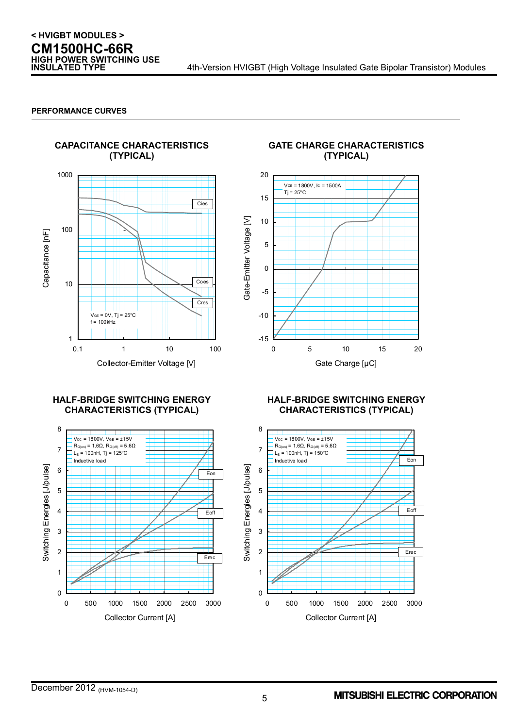#### **PERFORMANCE CURVES**



#### **GATE CHARGE CHARACTERISTICS (TYPICAL)**



#### **HALF-BRIDGE SWITCHING ENERGY CHARACTERISTICS (TYPICAL)**



#### **HALF-BRIDGE SWITCHING ENERGY CHARACTERISTICS (TYPICAL)**

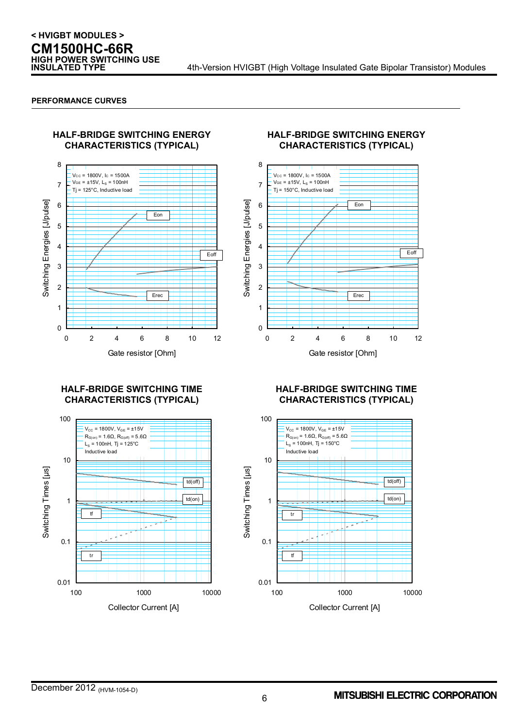#### **PERFORMANCE CURVES**



#### **HALF-BRIDGE SWITCHING ENERGY CHARACTERISTICS (TYPICAL)**



#### **HALF-BRIDGE SWITCHING TIME CHARACTERISTICS (TYPICAL)**



#### **HALF-BRIDGE SWITCHING TIME CHARACTERISTICS (TYPICAL)**

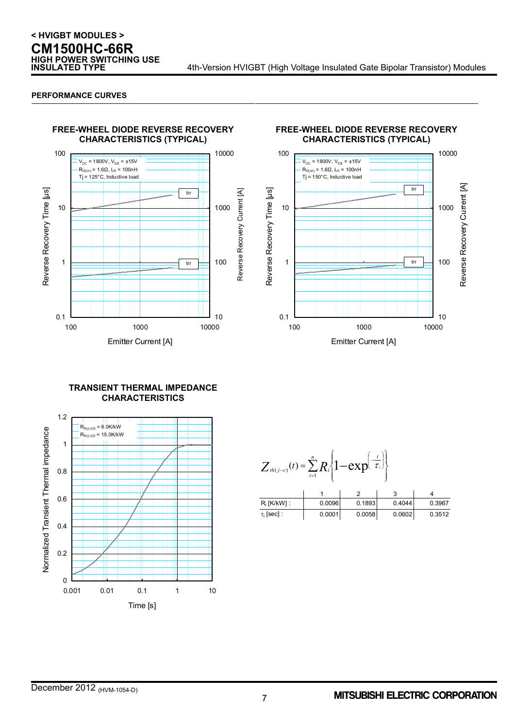## **< HVIGBT MODULES > CM1500HC-66R HIGH POWER SWITCHING USE**

#### **PERFORMANCE CURVES**





#### **TRANSIENT THERMAL IMPEDANCE CHARACTERISTICS**



| $Z_{th(j-c)}(t) = \sum R_i \left\{1 - \exp\left(\overline{\tau_i}\right)\right\}$<br>$\overline{i=1}$ |        |        |        |        |  |  |  |  |
|-------------------------------------------------------------------------------------------------------|--------|--------|--------|--------|--|--|--|--|
|                                                                                                       |        |        |        |        |  |  |  |  |
| $R_i$ [K/kW] :                                                                                        | 0.0096 | 0.1893 | 0.4044 | 0.3967 |  |  |  |  |
| $\tau_i$ [sec] :                                                                                      | 0.0001 | 0.0058 | 0.0602 | 0.3512 |  |  |  |  |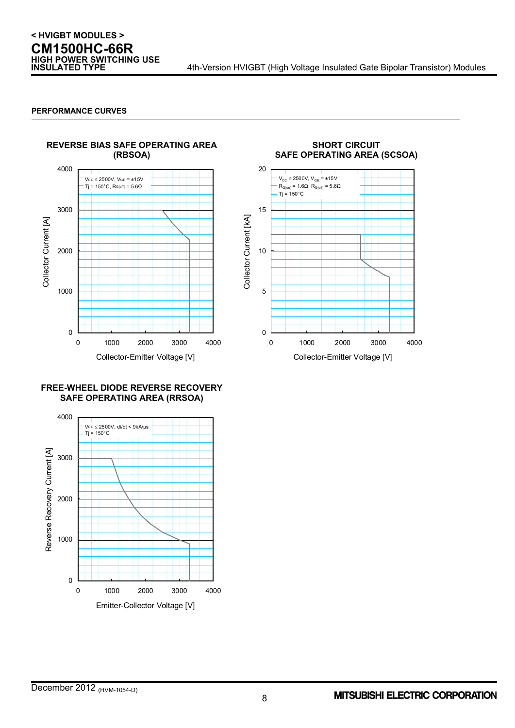#### **PERFORMANCE CURVES**



### **FREE-WHEEL DIODE REVERSE RECOVERY SAFE OPERATING AREA (RRSOA)**